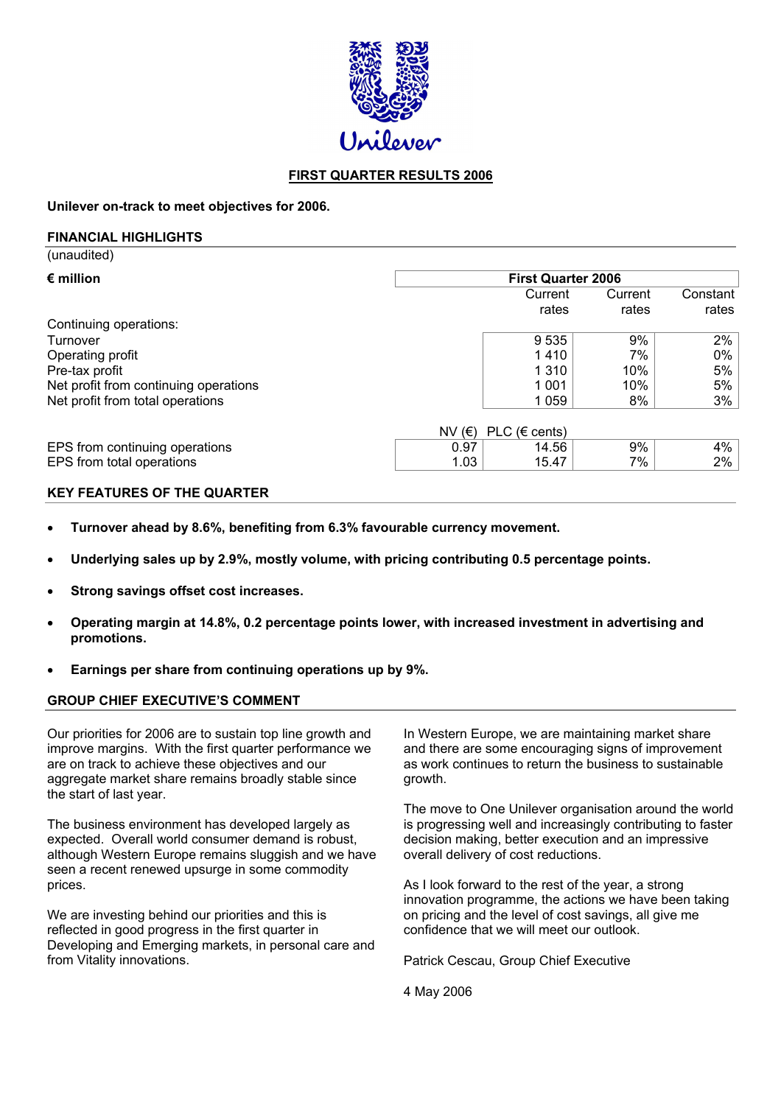

# **FIRST QUARTER RESULTS 2006**

**Unilever on-track to meet objectives for 2006.**

#### **FINANCIAL HIGHLIGHTS**

 $(nn)$ 

| <u></u>                               |                           |                    |                  |                   |  |  |
|---------------------------------------|---------------------------|--------------------|------------------|-------------------|--|--|
| $\epsilon$ million                    | <b>First Quarter 2006</b> |                    |                  |                   |  |  |
|                                       |                           | Current<br>rates   | Current<br>rates | Constant<br>rates |  |  |
| Continuing operations:                |                           |                    |                  |                   |  |  |
| Turnover                              |                           | 9 5 3 5            | 9%               | 2%                |  |  |
| Operating profit                      |                           | 1410               | 7%               | 0%                |  |  |
| Pre-tax profit                        |                           | 1 3 1 0            | 10%              | 5%                |  |  |
| Net profit from continuing operations |                           | 1 0 0 1            | 10%              | 5%                |  |  |
| Net profit from total operations      |                           | 1 0 5 9            | 8%               | 3%                |  |  |
|                                       | NV $(E)$                  | PLC ( $\in$ cents) |                  |                   |  |  |
| EPS from continuing operations        | 0.97                      | 14.56              | 9%               | 4%                |  |  |
| EPS from total operations             | 1.03                      | 15.47              | 7%               | 2%                |  |  |

## **KEY FEATURES OF THE QUARTER**

- **Turnover ahead by 8.6%, benefiting from 6.3% favourable currency movement.**
- **Underlying sales up by 2.9%, mostly volume, with pricing contributing 0.5 percentage points.**
- **Strong savings offset cost increases.**
- **Operating margin at 14.8%, 0.2 percentage points lower, with increased investment in advertising and promotions.**
- **Earnings per share from continuing operations up by 9%.**

# **GROUP CHIEF EXECUTIVE'S COMMENT**

Our priorities for 2006 are to sustain top line growth and improve margins. With the first quarter performance we are on track to achieve these objectives and our aggregate market share remains broadly stable since the start of last year.

The business environment has developed largely as expected. Overall world consumer demand is robust, although Western Europe remains sluggish and we have seen a recent renewed upsurge in some commodity prices.

We are investing behind our priorities and this is reflected in good progress in the first quarter in Developing and Emerging markets, in personal care and from Vitality innovations.

In Western Europe, we are maintaining market share and there are some encouraging signs of improvement as work continues to return the business to sustainable growth.

The move to One Unilever organisation around the world is progressing well and increasingly contributing to faster decision making, better execution and an impressive overall delivery of cost reductions.

As I look forward to the rest of the year, a strong innovation programme, the actions we have been taking on pricing and the level of cost savings, all give me confidence that we will meet our outlook.

Patrick Cescau, Group Chief Executive

4 May 2006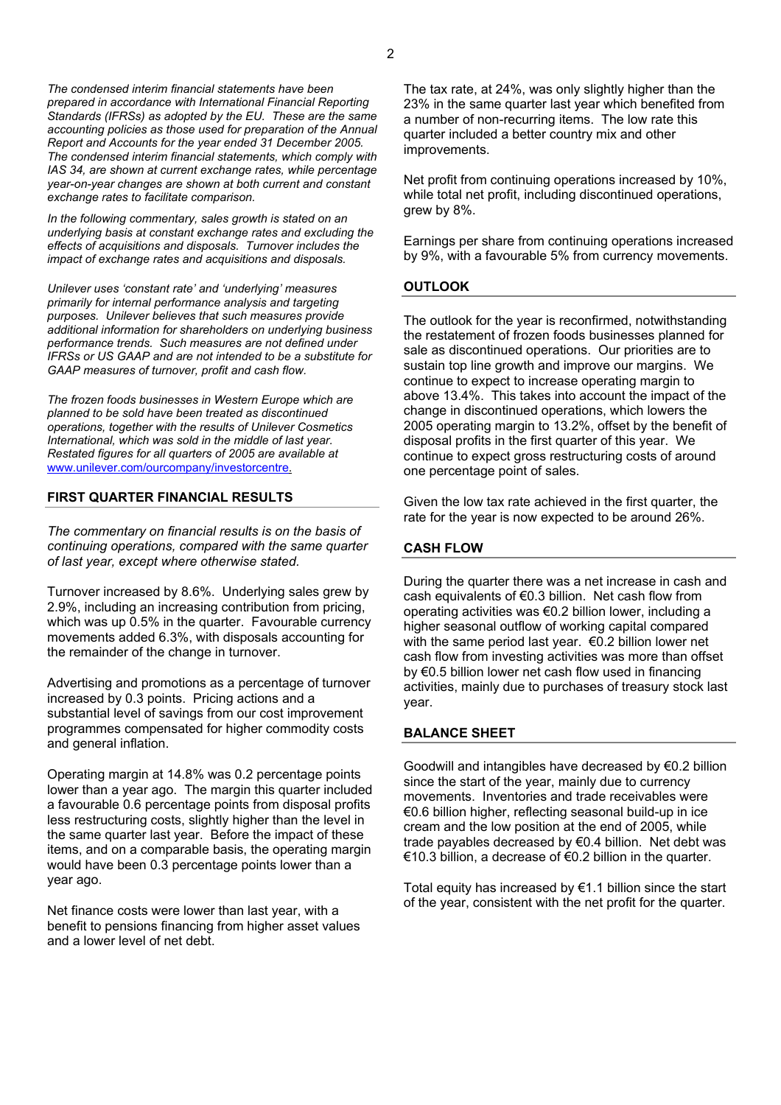*The condensed interim financial statements have been prepared in accordance with International Financial Reporting Standards (IFRSs) as adopted by the EU. These are the same accounting policies as those used for preparation of the Annual Report and Accounts for the year ended 31 December 2005. The condensed interim financial statements, which comply with IAS 34, are shown at current exchange rates, while percentage year-on-year changes are shown at both current and constant exchange rates to facilitate comparison.*

*In the following commentary, sales growth is stated on an underlying basis at constant exchange rates and excluding the effects of acquisitions and disposals. Turnover includes the impact of exchange rates and acquisitions and disposals.*

*Unilever uses 'constant rate' and 'underlying' measures primarily for internal performance analysis and targeting purposes. Unilever believes that such measures provide additional information for shareholders on underlying business performance trends. Such measures are not defined under IFRSs or US GAAP and are not intended to be a substitute for GAAP measures of turnover, profit and cash flow.*

*The frozen foods businesses in Western Europe which are planned to be sold have been treated as discontinued operations, together with the results of Unilever Cosmetics International, which was sold in the middle of last year. Restated figures for all quarters of 2005 are available at* [www.unilever.com/ourcompany/investorcentre.](http://www.unilever.com/ourcompany/investorcentre)

#### **FIRST QUARTER FINANCIAL RESULTS**

*The commentary on financial results is on the basis of continuing operations, compared with the same quarter of last year, except where otherwise stated.*

Turnover increased by 8.6%. Underlying sales grew by 2.9%, including an increasing contribution from pricing, which was up 0.5% in the quarter. Favourable currency movements added 6.3%, with disposals accounting for the remainder of the change in turnover.

Advertising and promotions as a percentage of turnover increased by 0.3 points. Pricing actions and a substantial level of savings from our cost improvement programmes compensated for higher commodity costs and general inflation.

Operating margin at 14.8% was 0.2 percentage points lower than a year ago. The margin this quarter included a favourable 0.6 percentage points from disposal profits less restructuring costs, slightly higher than the level in the same quarter last year. Before the impact of these items, and on a comparable basis, the operating margin would have been 0.3 percentage points lower than a year ago.

Net finance costs were lower than last year, with a benefit to pensions financing from higher asset values and a lower level of net debt.

The tax rate, at 24%, was only slightly higher than the 23% in the same quarter last year which benefited from a number of non-recurring items. The low rate this quarter included a better country mix and other improvements.

Net profit from continuing operations increased by 10%, while total net profit, including discontinued operations, grew by 8%.

Earnings per share from continuing operations increased by 9%, with a favourable 5% from currency movements.

#### **OUTLOOK**

The outlook for the year is reconfirmed, notwithstanding the restatement of frozen foods businesses planned for sale as discontinued operations. Our priorities are to sustain top line growth and improve our margins. We continue to expect to increase operating margin to above 13.4%. This takes into account the impact of the change in discontinued operations, which lowers the 2005 operating margin to 13.2%, offset by the benefit of disposal profits in the first quarter of this year. We continue to expect gross restructuring costs of around one percentage point of sales.

Given the low tax rate achieved in the first quarter, the rate for the year is now expected to be around 26%.

#### **CASH FLOW**

During the quarter there was a net increase in cash and cash equivalents of €0.3 billion. Net cash flow from operating activities was €0.2 billion lower, including a higher seasonal outflow of working capital compared with the same period last year. €0.2 billion lower net cash flow from investing activities was more than offset by €0.5 billion lower net cash flow used in financing activities, mainly due to purchases of treasury stock last year.

#### **BALANCE SHEET**

Goodwill and intangibles have decreased by €0.2 billion since the start of the year, mainly due to currency movements. Inventories and trade receivables were €0.6 billion higher, reflecting seasonal build-up in ice cream and the low position at the end of 2005, while trade payables decreased by €0.4 billion. Net debt was €10.3 billion, a decrease of €0.2 billion in the quarter.

Total equity has increased by  $E1.1$  billion since the start of the year, consistent with the net profit for the quarter.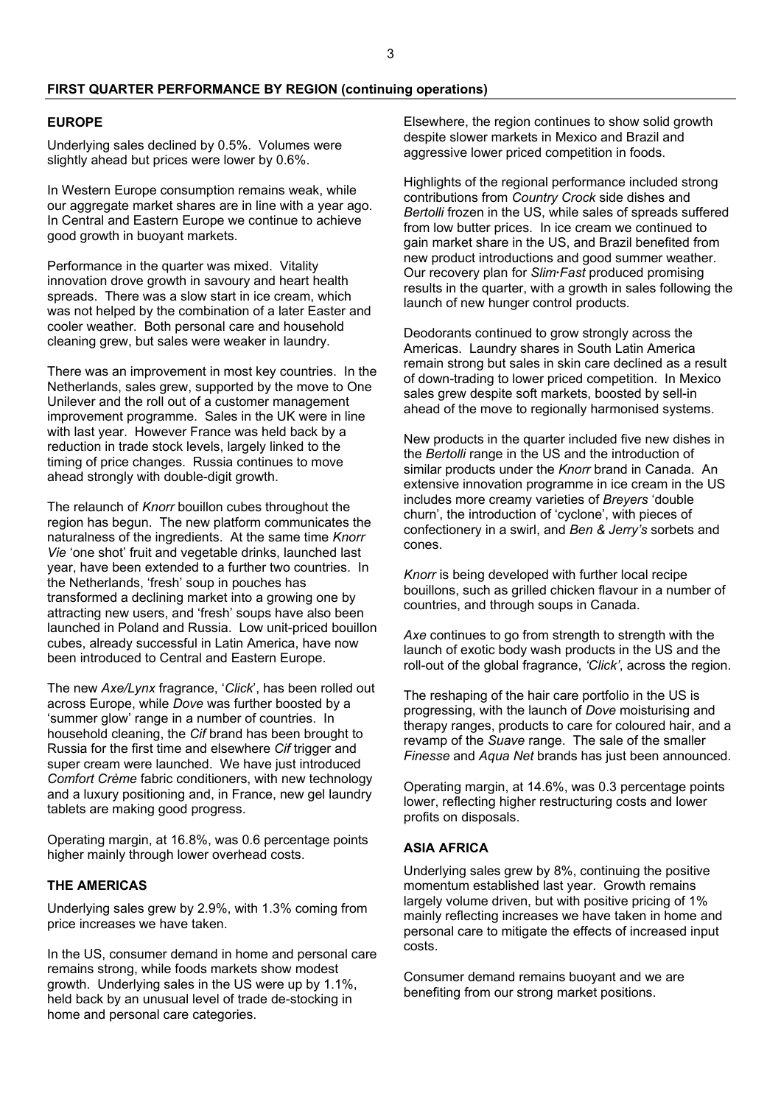#### **FIRST QUARTER PERFORMANCE BY REGION (continuing operations)**

#### **EUROPE**

Underlying sales declined by 0.5%. Volumes were slightly ahead but prices were lower by 0.6%.

In Western Europe consumption remains weak, while our aggregate market shares are in line with a year ago. In Central and Eastern Europe we continue to achieve good growth in buoyant markets.

Performance in the quarter was mixed. Vitality innovation drove growth in savoury and heart health spreads. There was a slow start in ice cream, which was not helped by the combination of a later Easter and cooler weather. Both personal care and household cleaning grew, but sales were weaker in laundry.

There was an improvement in most key countries. In the Netherlands, sales grew, supported by the move to One Unilever and the roll out of a customer management improvement programme. Sales in the UK were in line with last year. However France was held back by a reduction in trade stock levels, largely linked to the timing of price changes. Russia continues to move ahead strongly with double-digit growth.

The relaunch of *Knorr* bouillon cubes throughout the region has begun. The new platform communicates the naturalness of the ingredients. At the same time *Knorr Vie* 'one shot' fruit and vegetable drinks, launched last year, have been extended to a further two countries. In the Netherlands, 'fresh' soup in pouches has transformed a declining market into a growing one by attracting new users, and 'fresh' soups have also been launched in Poland and Russia. Low unit-priced bouillon cubes, already successful in Latin America, have now been introduced to Central and Eastern Europe.

The new *Axe/Lynx* fragrance, '*Click*', has been rolled out across Europe, while *Dove* was further boosted by a 'summer glow' range in a number of countries. In household cleaning, the *Cif* brand has been brought to Russia for the first time and elsewhere *Cif* trigger and super cream were launched. We have just introduced *Comfort Crème* fabric conditioners, with new technology and a luxury positioning and, in France, new gel laundry tablets are making good progress.

Operating margin, at 16.8%, was 0.6 percentage points higher mainly through lower overhead costs.

# **THE AMERICAS**

Underlying sales grew by 2.9%, with 1.3% coming from price increases we have taken.

In the US, consumer demand in home and personal care remains strong, while foods markets show modest growth. Underlying sales in the US were up by 1.1%, held back by an unusual level of trade de-stocking in home and personal care categories.

Elsewhere, the region continues to show solid growth despite slower markets in Mexico and Brazil and aggressive lower priced competition in foods.

Highlights of the regional performance included strong contributions from *Country Crock* side dishes and *Bertolli* frozen in the US, while sales of spreads suffered from low butter prices. In ice cream we continued to gain market share in the US, and Brazil benefited from new product introductions and good summer weather. Our recovery plan for *Slim·Fast* produced promising results in the quarter, with a growth in sales following the launch of new hunger control products.

Deodorants continued to grow strongly across the Americas. Laundry shares in South Latin America remain strong but sales in skin care declined as a result of down-trading to lower priced competition. In Mexico sales grew despite soft markets, boosted by sell-in ahead of the move to regionally harmonised systems.

New products in the quarter included five new dishes in the *Bertolli* range in the US and the introduction of similar products under the *Knorr* brand in Canada. An extensive innovation programme in ice cream in the US includes more creamy varieties of *Breyers* 'double churn', the introduction of 'cyclone', with pieces of confectionery in a swirl, and *Ben & Jerry's* sorbets and cones.

*Knorr* is being developed with further local recipe bouillons, such as grilled chicken flavour in a number of countries, and through soups in Canada.

*Axe* continues to go from strength to strength with the launch of exotic body wash products in the US and the roll-out of the global fragrance, *'Click'*, across the region.

The reshaping of the hair care portfolio in the US is progressing, with the launch of *Dove* moisturising and therapy ranges, products to care for coloured hair, and a revamp of the *Suave* range. The sale of the smaller *Finesse* and *Aqua Net* brands has just been announced.

Operating margin, at 14.6%, was 0.3 percentage points lower, reflecting higher restructuring costs and lower profits on disposals.

#### **ASIA AFRICA**

Underlying sales grew by 8%, continuing the positive momentum established last year. Growth remains largely volume driven, but with positive pricing of 1% mainly reflecting increases we have taken in home and personal care to mitigate the effects of increased input costs.

Consumer demand remains buoyant and we are benefiting from our strong market positions.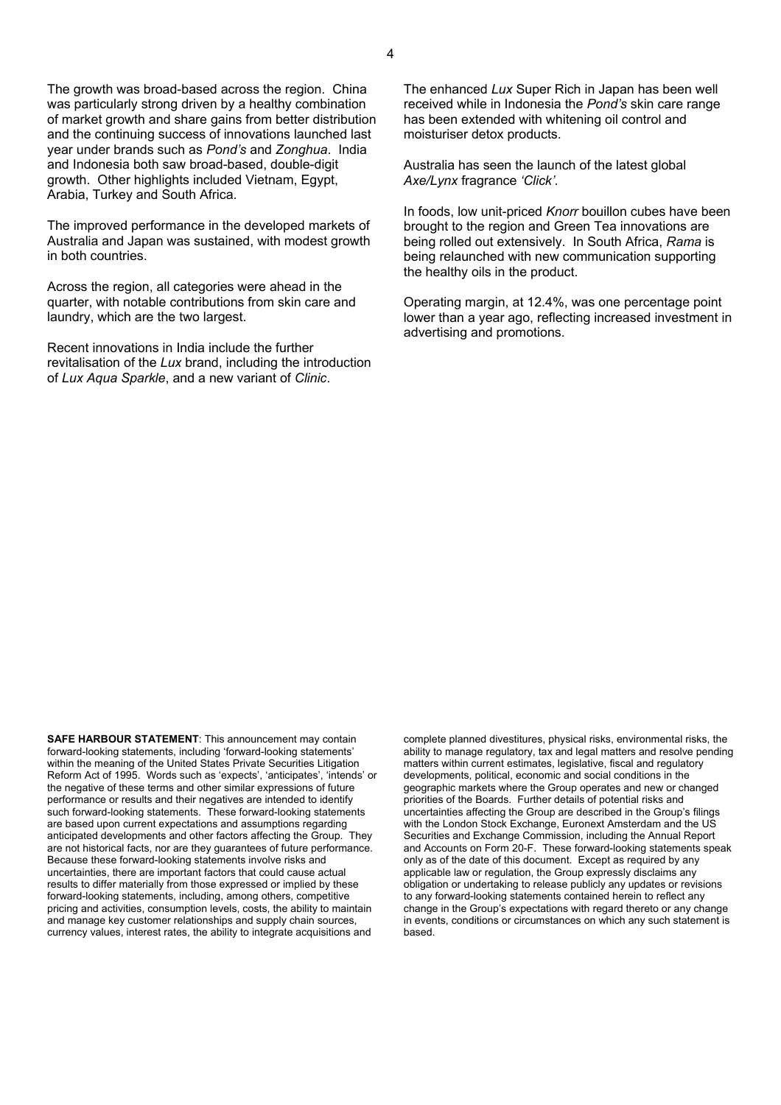The growth was broad-based across the region. China was particularly strong driven by a healthy combination of market growth and share gains from better distribution and the continuing success of innovations launched last year under brands such as *Pond's* and *Zonghua*. India and Indonesia both saw broad-based, double-digit growth. Other highlights included Vietnam, Egypt, Arabia, Turkey and South Africa.

The improved performance in the developed markets of Australia and Japan was sustained, with modest growth in both countries.

Across the region, all categories were ahead in the quarter, with notable contributions from skin care and laundry, which are the two largest.

Recent innovations in India include the further revitalisation of the *Lux* brand, including the introduction of *Lux Aqua Sparkle*, and a new variant of *Clinic*.

The enhanced *Lux* Super Rich in Japan has been well received while in Indonesia the *Pond's* skin care range has been extended with whitening oil control and moisturiser detox products.

Australia has seen the launch of the latest global *Axe/Lynx* fragrance *'Click'*.

In foods, low unit-priced *Knorr* bouillon cubes have been brought to the region and Green Tea innovations are being rolled out extensively. In South Africa, *Rama* is being relaunched with new communication supporting the healthy oils in the product.

Operating margin, at 12.4%, was one percentage point lower than a year ago, reflecting increased investment in advertising and promotions.

**SAFE HARBOUR STATEMENT**: This announcement may contain forward-looking statements, including 'forward-looking statements' within the meaning of the United States Private Securities Litigation Reform Act of 1995. Words such as 'expects', 'anticipates', 'intends' or the negative of these terms and other similar expressions of future performance or results and their negatives are intended to identify such forward-looking statements. These forward-looking statements are based upon current expectations and assumptions regarding anticipated developments and other factors affecting the Group. They are not historical facts, nor are they guarantees of future performance. Because these forward-looking statements involve risks and uncertainties, there are important factors that could cause actual results to differ materially from those expressed or implied by these forward-looking statements, including, among others, competitive pricing and activities, consumption levels, costs, the ability to maintain and manage key customer relationships and supply chain sources, currency values, interest rates, the ability to integrate acquisitions and

complete planned divestitures, physical risks, environmental risks, the ability to manage regulatory, tax and legal matters and resolve pending matters within current estimates, legislative, fiscal and regulatory developments, political, economic and social conditions in the geographic markets where the Group operates and new or changed priorities of the Boards. Further details of potential risks and uncertainties affecting the Group are described in the Group's filings with the London Stock Exchange, Euronext Amsterdam and the US Securities and Exchange Commission, including the Annual Report and Accounts on Form 20-F. These forward-looking statements speak only as of the date of this document. Except as required by any applicable law or regulation, the Group expressly disclaims any obligation or undertaking to release publicly any updates or revisions to any forward-looking statements contained herein to reflect any change in the Group's expectations with regard thereto or any change in events, conditions or circumstances on which any such statement is based.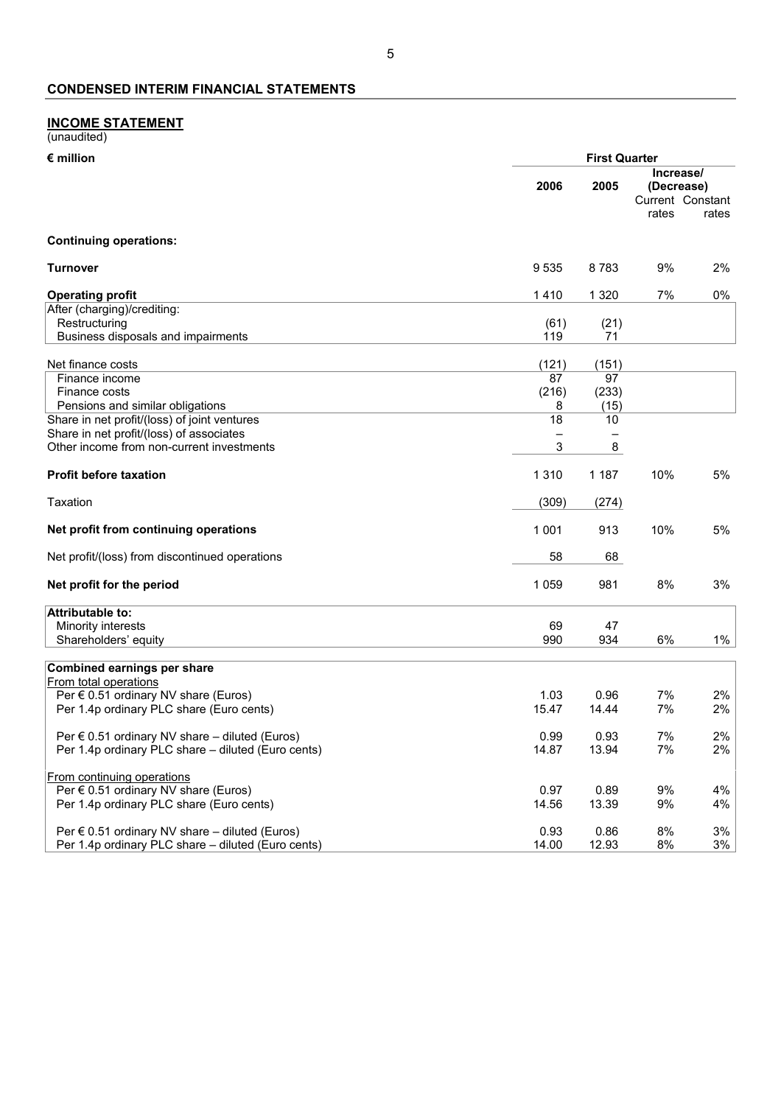# **INCOME STATEMENT**

| (unaudited) |  |
|-------------|--|
|             |  |

| $\epsilon$ million                                                               | <b>First Quarter</b> |            |                         |                           |
|----------------------------------------------------------------------------------|----------------------|------------|-------------------------|---------------------------|
|                                                                                  | 2006                 | 2005       | Increase/<br>(Decrease) |                           |
|                                                                                  |                      |            | rates                   | Current Constant<br>rates |
| <b>Continuing operations:</b>                                                    |                      |            |                         |                           |
| <b>Turnover</b>                                                                  | 9535                 | 8783       | 9%                      | 2%                        |
| <b>Operating profit</b>                                                          | 1410                 | 1 3 2 0    | 7%                      | 0%                        |
| After (charging)/crediting:                                                      |                      |            |                         |                           |
| Restructuring                                                                    | (61)                 | (21)       |                         |                           |
| Business disposals and impairments                                               | 119                  | 71         |                         |                           |
| Net finance costs                                                                | (121)                | (151)      |                         |                           |
| Finance income                                                                   | 87                   | 97         |                         |                           |
| Finance costs                                                                    | (216)                | (233)      |                         |                           |
| Pensions and similar obligations<br>Share in net profit/(loss) of joint ventures | 8<br>18              | (15)<br>10 |                         |                           |
| Share in net profit/(loss) of associates                                         |                      |            |                         |                           |
| Other income from non-current investments                                        | 3                    | 8          |                         |                           |
| <b>Profit before taxation</b>                                                    | 1 3 1 0              | 1 1 8 7    | 10%                     | 5%                        |
| Taxation                                                                         | (309)                | (274)      |                         |                           |
| Net profit from continuing operations                                            | 1 0 0 1              | 913        | 10%                     | 5%                        |
| Net profit/(loss) from discontinued operations                                   | 58                   | 68         |                         |                           |
| Net profit for the period                                                        | 1 0 5 9              | 981        | 8%                      | 3%                        |
| <b>Attributable to:</b>                                                          |                      |            |                         |                           |
| Minority interests                                                               | 69                   | 47         |                         |                           |
| Shareholders' equity                                                             | 990                  | 934        | 6%                      | 1%                        |
| <b>Combined earnings per share</b>                                               |                      |            |                         |                           |
| From total operations                                                            |                      |            |                         |                           |
| Per $\epsilon$ 0.51 ordinary NV share (Euros)                                    | 1.03                 | 0.96       | 7%                      | 2%                        |
| Per 1.4p ordinary PLC share (Euro cents)                                         | 15.47                | 14.44      | 7%                      | 2%                        |
| Per $\epsilon$ 0.51 ordinary NV share – diluted (Euros)                          | 0.99                 | 0.93       | 7%                      | 2%                        |
| Per 1.4p ordinary PLC share - diluted (Euro cents)                               | 14.87                | 13.94      | 7%                      | 2%                        |
|                                                                                  |                      |            |                         |                           |
| From continuing operations<br>Per € 0.51 ordinary NV share (Euros)               | 0.97                 | 0.89       | 9%                      | 4%                        |
| Per 1.4p ordinary PLC share (Euro cents)                                         | 14.56                | 13.39      | 9%                      | 4%                        |
|                                                                                  |                      |            |                         |                           |
| Per € 0.51 ordinary NV share - diluted (Euros)                                   | 0.93                 | 0.86       | 8%                      | 3%                        |
| Per 1.4p ordinary PLC share - diluted (Euro cents)                               | 14.00                | 12.93      | 8%                      | 3%                        |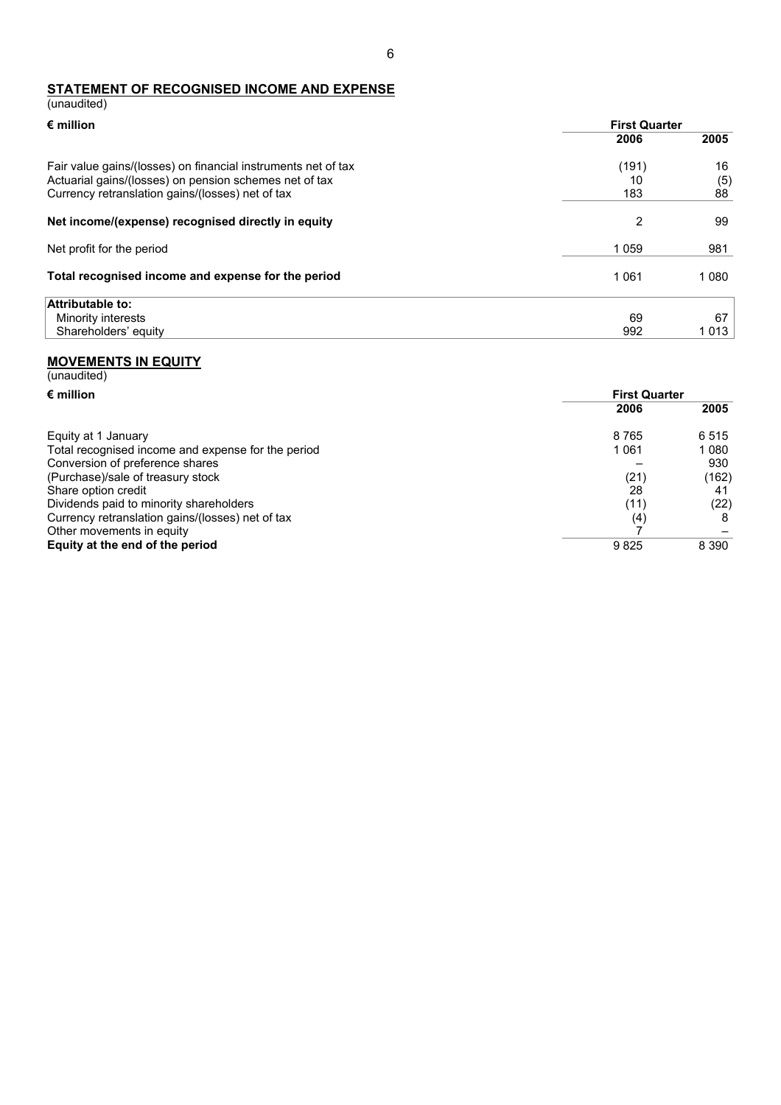#### **STATEMENT OF RECOGNISED INCOME AND EXPENSE** (unaudited)

| $\epsilon$ million                                                                                                                                                          | <b>First Quarter</b> |                 |
|-----------------------------------------------------------------------------------------------------------------------------------------------------------------------------|----------------------|-----------------|
|                                                                                                                                                                             | 2006                 | 2005            |
| Fair value gains/(losses) on financial instruments net of tax<br>Actuarial gains/(losses) on pension schemes net of tax<br>Currency retranslation gains/(losses) net of tax | (191)<br>10<br>183   | 16<br>(5)<br>88 |
| Net income/(expense) recognised directly in equity                                                                                                                          | $\overline{2}$       | 99              |
| Net profit for the period                                                                                                                                                   | 1059                 | 981             |
| Total recognised income and expense for the period                                                                                                                          | 1061                 | 1 0 8 0         |
| Attributable to:                                                                                                                                                            |                      |                 |
| Minority interests                                                                                                                                                          | 69                   | 67              |
| Shareholders' equity                                                                                                                                                        | 992                  | 1013            |

#### **MOVEMENTS IN EQUITY**

| (unaudited)                                        |                      |         |
|----------------------------------------------------|----------------------|---------|
| $\epsilon$ million                                 | <b>First Quarter</b> |         |
|                                                    | 2006                 | 2005    |
| Equity at 1 January                                | 8765                 | 6515    |
| Total recognised income and expense for the period | 1 0 6 1              | 1 0 8 0 |
| Conversion of preference shares                    |                      | 930     |
| (Purchase)/sale of treasury stock                  | (21)                 | (162)   |
| Share option credit                                | 28                   | 41      |
| Dividends paid to minority shareholders            | (11)                 | (22)    |
| Currency retranslation gains/(losses) net of tax   | (4)                  | 8       |
| Other movements in equity                          |                      |         |
| Equity at the end of the period                    | 9825                 | 8 3 9 0 |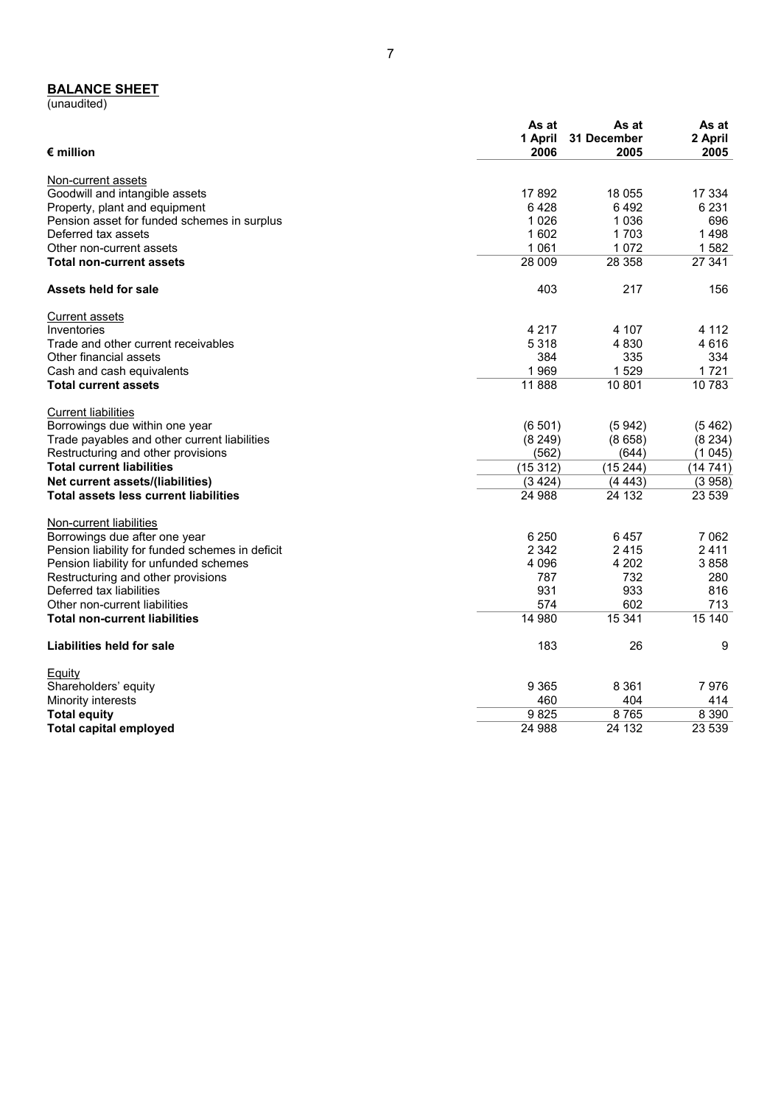#### **BALANCE SHEET**

(unaudited)

| $\epsilon$ million                              | As at<br>1 April<br>2006 | As at<br>31 December<br>2005 | As at<br>2 April<br>2005 |
|-------------------------------------------------|--------------------------|------------------------------|--------------------------|
| Non-current assets                              |                          |                              |                          |
| Goodwill and intangible assets                  | 17892                    | 18 055                       | 17 334                   |
| Property, plant and equipment                   | 6428                     | 6492                         | 6 2 3 1                  |
| Pension asset for funded schemes in surplus     | 1 0 2 6                  | 1 0 3 6                      | 696                      |
| Deferred tax assets                             | 1 602                    | 1703                         | 1498                     |
| Other non-current assets                        | 1 0 6 1                  | 1 0 7 2                      | 1582                     |
| <b>Total non-current assets</b>                 | 28 009                   | 28 358                       | 27 341                   |
| Assets held for sale                            | 403                      | 217                          | 156                      |
| Current assets                                  |                          |                              |                          |
| Inventories                                     | 4 2 1 7                  | 4 107                        | 4 1 1 2                  |
| Trade and other current receivables             | 5 3 1 8                  | 4830                         | 4616                     |
| Other financial assets                          | 384                      | 335                          | 334                      |
| Cash and cash equivalents                       | 1969                     | 1529                         | 1 7 2 1                  |
| <b>Total current assets</b>                     | 11888                    | 10 801                       | 10783                    |
| <b>Current liabilities</b>                      |                          |                              |                          |
| Borrowings due within one year                  | (6501)                   | (5942)                       | (5462)                   |
| Trade payables and other current liabilities    | (8249)                   | (8658)                       | (8234)                   |
| Restructuring and other provisions              | (562)                    | (644)                        | (1045)                   |
| <b>Total current liabilities</b>                | (15312)                  | (15244)                      | (14741)                  |
| Net current assets/(liabilities)                | (3424)                   | (4443)                       | (3958)                   |
| <b>Total assets less current liabilities</b>    | 24 988                   | 24 132                       | 23 539                   |
| Non-current liabilities                         |                          |                              |                          |
| Borrowings due after one year                   | 6 2 5 0                  | 6457                         | 7 0 6 2                  |
| Pension liability for funded schemes in deficit | 2 3 4 2                  | 2415                         | 2411                     |
| Pension liability for unfunded schemes          | 4 0 9 6                  | 4 2 0 2                      | 3858                     |
| Restructuring and other provisions              | 787                      | 732                          | 280                      |
| Deferred tax liabilities                        | 931                      | 933                          | 816                      |
| Other non-current liabilities                   | 574                      | 602                          | 713                      |
| <b>Total non-current liabilities</b>            | 14 980                   | 15 341                       | 15140                    |
| Liabilities held for sale                       | 183                      | 26                           | 9                        |
| Equity                                          |                          |                              |                          |
| Shareholders' equity                            | 9 3 6 5                  | 8 3 6 1                      | 7976                     |
| Minority interests                              | 460                      | 404                          | 414                      |
| <b>Total equity</b>                             | 9825                     | 8765                         | 8 3 9 0                  |
| <b>Total capital employed</b>                   | 24 988                   | 24 132                       | 23 539                   |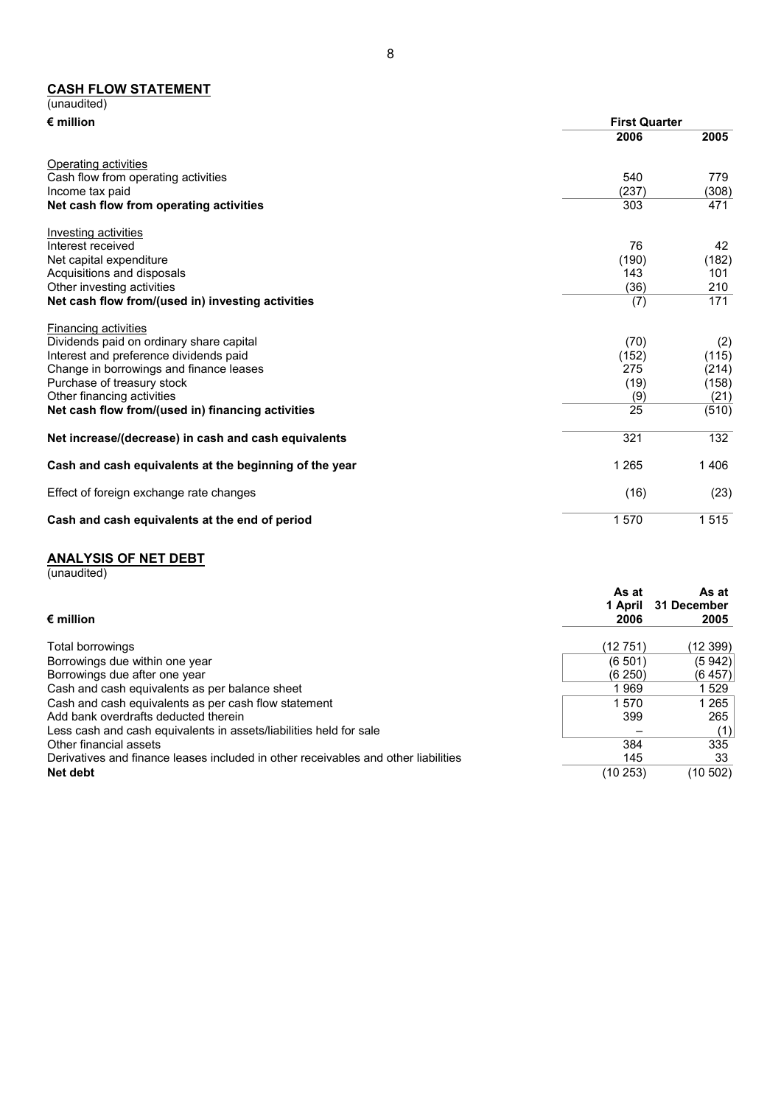#### **CASH FLOW STATEMENT**

| (unaudited)                                            |                      |       |
|--------------------------------------------------------|----------------------|-------|
| $\epsilon$ million                                     | <b>First Quarter</b> |       |
|                                                        | 2006                 | 2005  |
| Operating activities                                   |                      |       |
| Cash flow from operating activities                    | 540                  | 779   |
| Income tax paid                                        | (237)                | (308) |
| Net cash flow from operating activities                | 303                  | 471   |
| Investing activities                                   |                      |       |
| Interest received                                      | 76                   | 42    |
| Net capital expenditure                                | (190)                | (182) |
| Acquisitions and disposals                             | 143                  | 101   |
| Other investing activities                             | (36)                 | 210   |
| Net cash flow from/(used in) investing activities      | (7)                  | 171   |
| <b>Financing activities</b>                            |                      |       |
| Dividends paid on ordinary share capital               | (70)                 | (2)   |
| Interest and preference dividends paid                 | (152)                | (115) |
| Change in borrowings and finance leases                | 275                  | (214) |
| Purchase of treasury stock                             | (19)                 | (158) |
| Other financing activities                             | (9)                  | (21)  |
| Net cash flow from/(used in) financing activities      | 25                   | (510) |
| Net increase/(decrease) in cash and cash equivalents   | 321                  | 132   |
| Cash and cash equivalents at the beginning of the year | 1 2 6 5              | 406   |
| Effect of foreign exchange rate changes                | (16)                 | (23)  |
| Cash and cash equivalents at the end of period         | 1570                 | 1515  |

#### **ANALYSIS OF NET DEBT**

(unaudited)

| $\bm{\epsilon}$ million                                                            | As at<br>1 April<br>2006 | As at<br>31 December<br>2005 |
|------------------------------------------------------------------------------------|--------------------------|------------------------------|
| Total borrowings                                                                   | (12 751)                 | (12 399)                     |
| Borrowings due within one year                                                     | (6, 501)                 | (5942)                       |
| Borrowings due after one year                                                      | (6250)                   | (6 457)                      |
| Cash and cash equivalents as per balance sheet                                     | 969                      | 1 529                        |
| Cash and cash equivalents as per cash flow statement                               | 1570                     | 1 265                        |
| Add bank overdrafts deducted therein                                               | 399                      | 265                          |
| Less cash and cash equivalents in assets/liabilities held for sale                 |                          |                              |
| Other financial assets                                                             | 384                      | 335                          |
| Derivatives and finance leases included in other receivables and other liabilities | 145                      | 33                           |
| Net debt                                                                           | (10 253)                 | (10 502)                     |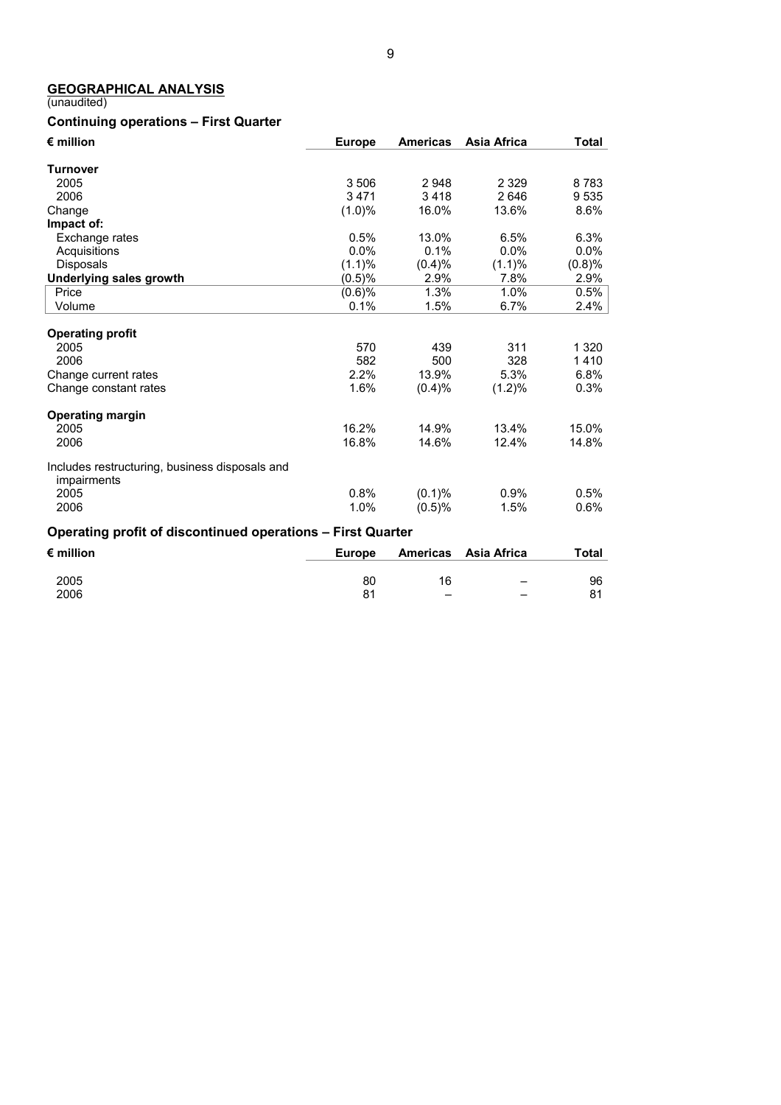# **GEOGRAPHICAL ANALYSIS**

#### (unaudited)

# **Continuing operations – First Quarter**

| $\epsilon$ million                                            | <b>Europe</b> | <b>Americas</b> | Asia Africa | <b>Total</b> |
|---------------------------------------------------------------|---------------|-----------------|-------------|--------------|
| <b>Turnover</b>                                               |               |                 |             |              |
| 2005                                                          | 3 5 0 6       | 2948            | 2 3 2 9     | 8783         |
| 2006                                                          | 3471          | 3418            | 2646        | 9 5 3 5      |
| Change                                                        | $(1.0)\%$     | 16.0%           | 13.6%       | 8.6%         |
| Impact of:                                                    |               |                 |             |              |
| Exchange rates                                                | 0.5%          | 13.0%           | 6.5%        | 6.3%         |
| Acquisitions                                                  | 0.0%          | 0.1%            | $0.0\%$     | 0.0%         |
| <b>Disposals</b>                                              | (1.1)%        | (0.4)%          | $(1.1)\%$   | (0.8)%       |
| <b>Underlying sales growth</b>                                | (0.5)%        | 2.9%            | 7.8%        | 2.9%         |
| Price                                                         | (0.6)%        | 1.3%            | 1.0%        | 0.5%         |
| Volume                                                        | 0.1%          | 1.5%            | 6.7%        | 2.4%         |
|                                                               |               |                 |             |              |
| <b>Operating profit</b>                                       |               |                 |             |              |
| 2005                                                          | 570           | 439             | 311         | 1 3 2 0      |
| 2006                                                          | 582           | 500             | 328         | 1410         |
| Change current rates                                          | 2.2%          | 13.9%           | 5.3%        | 6.8%         |
| Change constant rates                                         | 1.6%          | (0.4)%          | (1.2)%      | 0.3%         |
| <b>Operating margin</b>                                       |               |                 |             |              |
| 2005                                                          | 16.2%         | 14.9%           | 13.4%       | 15.0%        |
| 2006                                                          | 16.8%         | 14.6%           | 12.4%       | 14.8%        |
| Includes restructuring, business disposals and<br>impairments |               |                 |             |              |
| 2005                                                          | 0.8%          | $(0.1)\%$       | $0.9\%$     | 0.5%         |
| 2006                                                          | 1.0%          | (0.5)%          | 1.5%        | 0.6%         |
| Operating profit of discontinued operations - First Quarter   |               |                 |             |              |
| $\epsilon$ million                                            | <b>Europe</b> | <b>Americas</b> | Asia Africa | <b>Total</b> |

| $\epsilon$ munich | Luivut |                          | AIIIUIILUAS ASIA AIIILUA | ι νιαι |
|-------------------|--------|--------------------------|--------------------------|--------|
|                   |        |                          |                          |        |
| 2005              | 80     | 16                       | $\overline{\phantom{0}}$ | 96     |
| 2006              |        | $\overline{\phantom{m}}$ | $\overline{\phantom{0}}$ | ٥4     |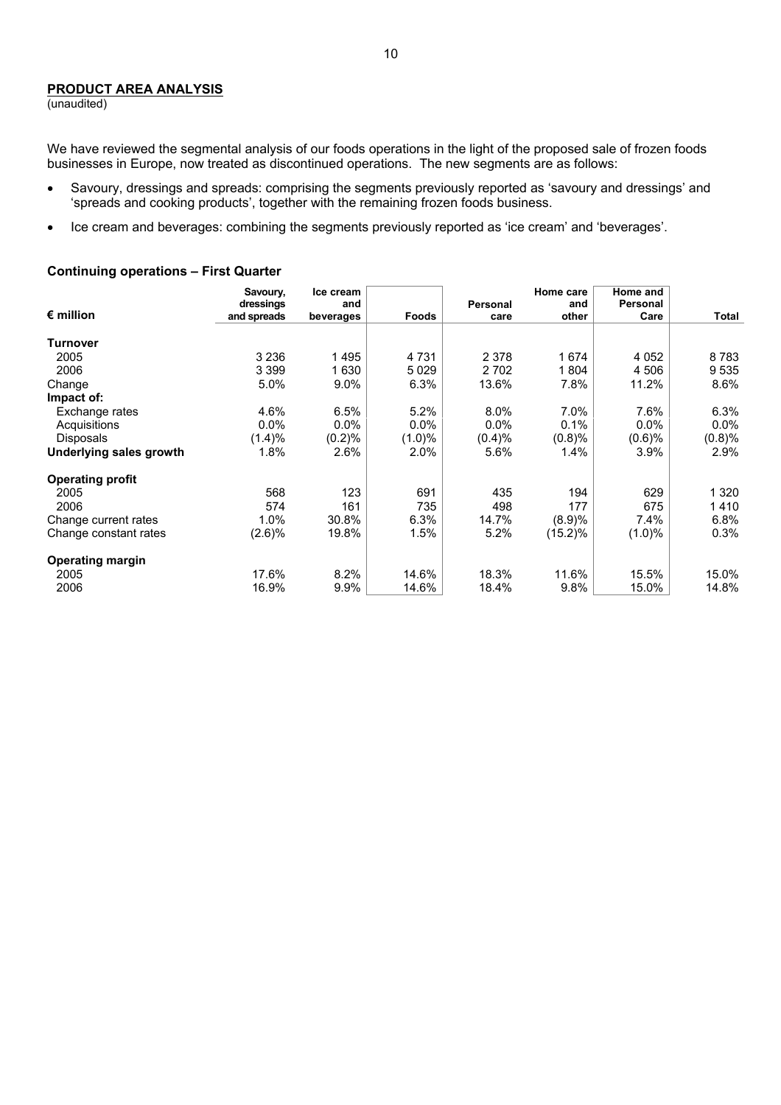# **PRODUCT AREA ANALYSIS**

(unaudited)

We have reviewed the segmental analysis of our foods operations in the light of the proposed sale of frozen foods businesses in Europe, now treated as discontinued operations. The new segments are as follows:

- Savoury, dressings and spreads: comprising the segments previously reported as 'savoury and dressings' and 'spreads and cooking products', together with the remaining frozen foods business.
- Ice cream and beverages: combining the segments previously reported as 'ice cream' and 'beverages'.

#### **Continuing operations – First Quarter**

|                         | Savoury,                 | Ice cream        |           |                  | Home care    | Home and         |         |
|-------------------------|--------------------------|------------------|-----------|------------------|--------------|------------------|---------|
| $\epsilon$ million      | dressings<br>and spreads | and<br>beverages | Foods     | Personal<br>care | and<br>other | Personal<br>Care | Total   |
|                         |                          |                  |           |                  |              |                  |         |
| Turnover                |                          |                  |           |                  |              |                  |         |
| 2005                    | 3 2 3 6                  | 1495             | 4 7 3 1   | 2 3 7 8          | 1674         | 4 0 5 2          | 8783    |
| 2006                    | 3 3 9 9                  | 1 6 3 0          | 5029      | 2 7 0 2          | 1804         | 4 506            | 9 5 3 5 |
| Change                  | 5.0%                     | $9.0\%$          | 6.3%      | 13.6%            | 7.8%         | 11.2%            | 8.6%    |
| Impact of:              |                          |                  |           |                  |              |                  |         |
| Exchange rates          | 4.6%                     | 6.5%             | 5.2%      | 8.0%             | 7.0%         | 7.6%             | 6.3%    |
| Acquisitions            | 0.0%                     | $0.0\%$          | $0.0\%$   | 0.0%             | 0.1%         | $0.0\%$          | $0.0\%$ |
| <b>Disposals</b>        | (1.4)%                   | (0.2)%           | $(1.0)\%$ | (0.4)%           | (0.8)%       | (0.6)%           | (0.8)%  |
| Underlying sales growth | 1.8%                     | 2.6%             | 2.0%      | 5.6%             | $1.4\%$      | $3.9\%$          | 2.9%    |
| <b>Operating profit</b> |                          |                  |           |                  |              |                  |         |
| 2005                    | 568                      | 123              | 691       | 435              | 194          | 629              | 1 3 2 0 |
| 2006                    | 574                      | 161              | 735       | 498              | 177          | 675              | 1410    |
| Change current rates    | 1.0%                     | 30.8%            | 6.3%      | 14.7%            | (8.9)%       | 7.4%             | 6.8%    |
| Change constant rates   | (2.6)%                   | 19.8%            | 1.5%      | 5.2%             | $(15.2)\%$   | $(1.0)\%$        | 0.3%    |
| <b>Operating margin</b> |                          |                  |           |                  |              |                  |         |
| 2005                    | 17.6%                    | 8.2%             | 14.6%     | 18.3%            | 11.6%        | 15.5%            | 15.0%   |
| 2006                    | 16.9%                    | 9.9%             | 14.6%     | 18.4%            | 9.8%         | 15.0%            | 14.8%   |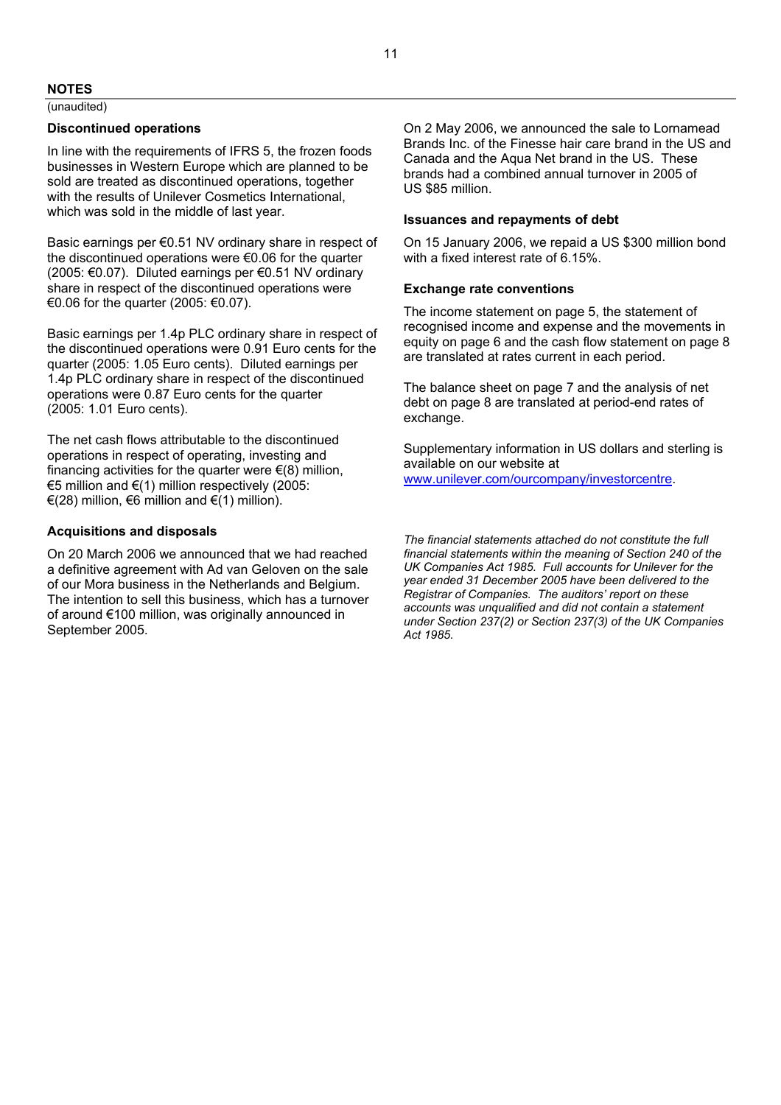#### **NOTES**

(unaudited)

#### **Discontinued operations**

In line with the requirements of IFRS 5, the frozen foods businesses in Western Europe which are planned to be sold are treated as discontinued operations, together with the results of Unilever Cosmetics International, which was sold in the middle of last year.

Basic earnings per €0.51 NV ordinary share in respect of the discontinued operations were €0.06 for the quarter (2005: €0.07). Diluted earnings per €0.51 NV ordinary share in respect of the discontinued operations were €0.06 for the quarter (2005: €0.07).

Basic earnings per 1.4p PLC ordinary share in respect of the discontinued operations were 0.91 Euro cents for the quarter (2005: 1.05 Euro cents). Diluted earnings per 1.4p PLC ordinary share in respect of the discontinued operations were 0.87 Euro cents for the quarter (2005: 1.01 Euro cents).

The net cash flows attributable to the discontinued operations in respect of operating, investing and financing activities for the quarter were  $\epsilon(8)$  million, €5 million and €(1) million respectively (2005:  $€(28)$  million,  $€6$  million and  $€(1)$  million).

#### **Acquisitions and disposals**

On 20 March 2006 we announced that we had reached a definitive agreement with Ad van Geloven on the sale of our Mora business in the Netherlands and Belgium. The intention to sell this business, which has a turnover of around €100 million, was originally announced in September 2005.

On 2 May 2006, we announced the sale to Lornamead Brands Inc. of the Finesse hair care brand in the US and Canada and the Aqua Net brand in the US. These brands had a combined annual turnover in 2005 of US \$85 million.

#### **Issuances and repayments of debt**

On 15 January 2006, we repaid a US \$300 million bond with a fixed interest rate of 6.15%.

#### **Exchange rate conventions**

The income statement on page 5, the statement of recognised income and expense and the movements in equity on page 6 and the cash flow statement on page 8 are translated at rates current in each period.

The balance sheet on page 7 and the analysis of net debt on page 8 are translated at period-end rates of exchange.

Supplementary information in US dollars and sterling is available on our website at www.unilever.com/ourcompany/investorcentre.

*The financial statements attached do not constitute the full financial statements within the meaning of Section 240 of the UK Companies Act 1985. Full accounts for Unilever for the year ended 31 December 2005 have been delivered to the Registrar of Companies. The auditors' report on these accounts was unqualified and did not contain a statement under Section 237(2) or Section 237(3) of the UK Companies Act 1985.*